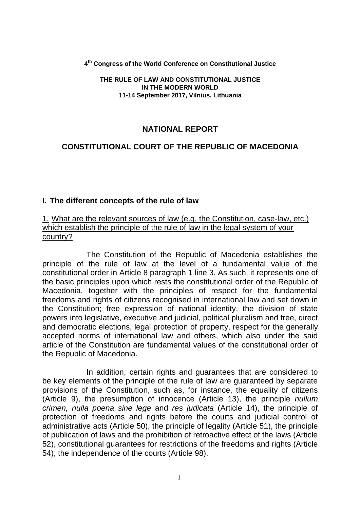**4 th Congress of the World Conference on Constitutional Justice**

#### **THE RULE OF LAW AND CONSTITUTIONAL JUSTICE IN THE MODERN WORLD 11-14 September 2017, Vilnius, Lithuania**

### **NATIONAL REPORT**

### **CONSTITUTIONAL COURT OF THE REPUBLIC OF MACEDONIA**

#### **I. The different concepts of the rule of law**

#### 1. What are the relevant sources of law (e.g. the Constitution, case-law, etc.) which establish the principle of the rule of law in the legal system of your country?

The Constitution of the Republic of Macedonia establishes the principle of the rule of law at the level of a fundamental value of the constitutional order in Article 8 paragraph 1 line 3. As such, it represents one of the basic principles upon which rests the constitutional order of the Republic of Macedonia, together with the principles of respect for the fundamental freedoms and rights of citizens recognised in international law and set down in the Constitution; free expression of national identity, the division of state powers into legislative, executive and judicial, political pluralism and free, direct and democratic elections, legal protection of property, respect for the generally accepted norms of international law and others, which also under the said article of the Constitution are fundamental values of the constitutional order of the Republic of Macedonia.

In addition, certain rights and guarantees that are considered to be key elements of the principle of the rule of law are guaranteed by separate provisions of the Constitution, such as, for instance, the equality of citizens (Article 9), the presumption of innocence (Article 13), the principle *nullum crimen, nulla poena sine lege* and *res judicata* (Article 14), the principle of protection of freedoms and rights before the courts and judicial control of administrative acts (Article 50), the principle of legality (Article 51), the principle of publication of laws and the prohibition of retroactive effect of the laws (Article 52), constitutional guarantees for restrictions of the freedoms and rights (Article 54), the independence of the courts (Article 98).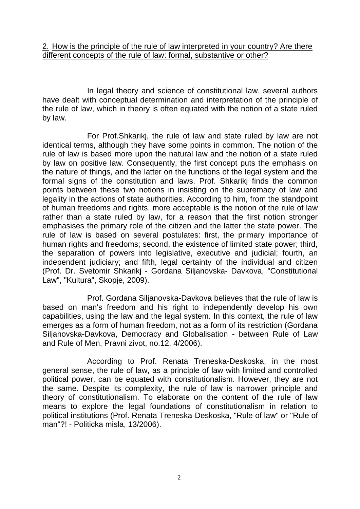#### 2. How is the principle of the rule of law interpreted in your country? Are there different concepts of the rule of law: formal, substantive or other?

In legal theory and science of constitutional law, several authors have dealt with conceptual determination and interpretation of the principle of the rule of law, which in theory is often equated with the notion of a state ruled by law.

For Prof.Shkarikj, the rule of law and state ruled by law are not identical terms, although they have some points in common. The notion of the rule of law is based more upon the natural law and the notion of a state ruled by law on positive law. Consequently, the first concept puts the emphasis on the nature of things, and the latter on the functions of the legal system and the formal signs of the constitution and laws. Prof. Shkarikj finds the common points between these two notions in insisting on the supremacy of law and legality in the actions of state authorities. According to him, from the standpoint of human freedoms and rights, more acceptable is the notion of the rule of law rather than a state ruled by law, for a reason that the first notion stronger emphasises the primary role of the citizen and the latter the state power. The rule of law is based on several postulates: first, the primary importance of human rights and freedoms; second, the existence of limited state power; third, the separation of powers into legislative, executive and judicial; fourth, an independent judiciary; and fifth, legal certainty of the individual and citizen (Prof. Dr. Svetomir Shkarikj - Gordana Siljanovska- Davkova, "Constitutional Law", "Kultura", Skopje, 2009).

Prof. Gordana Siljanovska-Davkova believes that the rule of law is based on man's freedom and his right to independently develop his own capabilities, using the law and the legal system. In this context, the rule of law emerges as a form of human freedom, not as a form of its restriction (Gordana Siljanovska-Davkova, Democracy and Globalisation - between Rule of Law and Rule of Men, Pravni zivot, no.12, 4/2006).

According to Prof. Renata Treneska-Deskoska, in the most general sense, the rule of law, as a principle of law with limited and controlled political power, can be equated with constitutionalism. However, they are not the same. Despite its complexity, the rule of law is narrower principle and theory of constitutionalism. To elaborate on the content of the rule of law means to explore the legal foundations of constitutionalism in relation to political institutions (Prof. Renata Treneska-Deskoska, "Rule of law" or "Rule of man"?! - Politicka misla, 13/2006).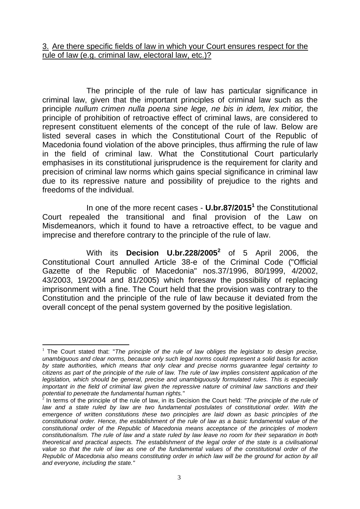#### 3. Are there specific fields of law in which your Court ensures respect for the rule of law (e.g. criminal law, electoral law, etc.)?

The principle of the rule of law has particular significance in criminal law, given that the important principles of criminal law such as the principle *nullum crimen nulla poena sine lege, ne bis in idem, lex mitior,* the principle of prohibition of retroactive effect of criminal laws, are considered to represent constituent elements of the concept of the rule of law. Below are listed several cases in which the Constitutional Court of the Republic of Macedonia found violation of the above principles, thus affirming the rule of law in the field of criminal law. What the Constitutional Court particularly emphasises in its constitutional jurisprudence is the requirement for clarity and precision of criminal law norms which gains special significance in criminal law due to its repressive nature and possibility of prejudice to the rights and freedoms of the individual.

In one of the more recent cases - **U.br.87/2015 1** the Constitutional Court repealed the transitional and final provision of the Law on Misdemeanors, which it found to have a retroactive effect, to be vague and imprecise and therefore contrary to the principle of the rule of law.

With its **Decision U.br.228/2005<sup>2</sup>** of 5 April 2006, the Constitutional Court annulled Article 38-e of the Criminal Code ("Official Gazette of the Republic of Macedonia" nos.37/1996, 80/1999, 4/2002, 43/2003, 19/2004 and 81/2005) which foresaw the possibility of replacing imprisonment with a fine. The Court held that the provision was contrary to the Constitution and the principle of the rule of law because it deviated from the overall concept of the penal system governed by the positive legislation.

<sup>&</sup>lt;u>.</u> <sup>1</sup> The Court stated that: "*The principle of the rule of law obliges the legislator to design precise, unambiguous and clear norms, because only such legal norms could represent a solid basis for action by state authorities, which means that only clear and precise norms guarantee legal certainty to citizens as part of the principle of the rule of law. The rule of law implies consistent application of the legislation, which should be general, precise and unambiguously formulated rules. This is especially*  important in the field of criminal law given the repressive nature of criminal law sanctions and their *potential to penetrate the fundamental human rights."* 2

In terms of the principle of the rule of law, in its Decision the Court held: *"The principle of the rule of*  law and a state ruled by law are two fundamental postulates of constitutional order. With the *emergence of written constitutions these two principles are laid down as basic principles of the constitutional order. Hence, the establishment of the rule of law as a basic fundamental value of the constitutional order of the Republic of Macedonia means acceptance of the principles of modern constitutionalism. The rule of law and a state ruled by law leave no room for their separation in both theoretical and practical aspects. The establishment of the legal order of the state is a civilisational value so that the rule of law as one of the fundamental values of the constitutional order of the Republic of Macedonia also means constituting order in which law will be the ground for action by all and everyone, including the state."*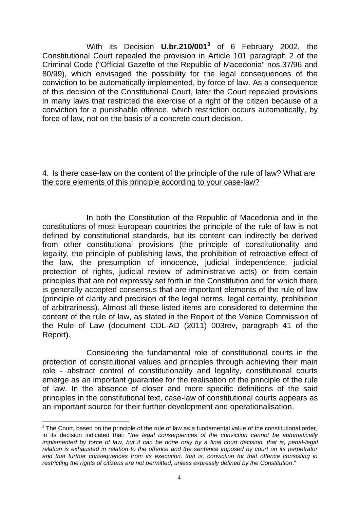With its Decision **U.br.210/001 3** of 6 February 2002, the Constitutional Court repealed the provision in Article 101 paragraph 2 of the Criminal Code ("Official Gazette of the Republic of Macedonia" nos.37/96 and 80/99), which envisaged the possibility for the legal consequences of the conviction to be automatically implemented, by force of law. As a consequence of this decision of the Constitutional Court, later the Court repealed provisions in many laws that restricted the exercise of a right of the citizen because of a conviction for a punishable offence, which restriction occurs automatically, by force of law, not on the basis of a concrete court decision.

#### 4. Is there case-law on the content of the principle of the rule of law? What are the core elements of this principle according to your case-law?

In both the Constitution of the Republic of Macedonia and in the constitutions of most European countries the principle of the rule of law is not defined by constitutional standards, but its content can indirectly be derived from other constitutional provisions (the principle of constitutionality and legality, the principle of publishing laws, the prohibition of retroactive effect of the law, the presumption of innocence, judicial independence, judicial protection of rights, judicial review of administrative acts) or from certain principles that are not expressly set forth in the Constitution and for which there is generally accepted consensus that are important elements of the rule of law (principle of clarity and precision of the legal norms, legal certainty, prohibition of arbitrariness). Almost all these listed items are considered to determine the content of the rule of law, as stated in the Report of the Venice Commission of the Rule of Law (document CDL-AD (2011) 003rev, paragraph 41 of the Report).

Considering the fundamental role of constitutional courts in the protection of constitutional values and principles through achieving their main role - abstract control of constitutionality and legality, constitutional courts emerge as an important guarantee for the realisation of the principle of the rule of law. In the absence of closer and more specific definitions of the said principles in the constitutional text, case-law of constitutional courts appears as an important source for their further development and operationalisation.

1

 $3$  The Court, based on the principle of the rule of law as a fundamental value of the constitutional order, in its decision indicated that: "*the legal consequences of the conviction cannot be automatically implemented by force of law, but it can be done only by a final court decision, that is, penal-legal relation is exhausted in relation to the offence and the sentence imposed by court on its perpetrator and that further consequences from its execution, that is, conviction for that offence consisting in restricting the rights of citizens are not permitted, unless expressly defined by the Constitution*."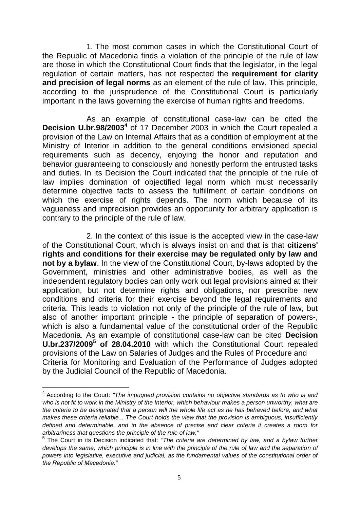1. The most common cases in which the Constitutional Court of the Republic of Macedonia finds a violation of the principle of the rule of law are those in which the Constitutional Court finds that the legislator, in the legal regulation of certain matters, has not respected the **requirement for clarity and precision of legal norms** as an element of the rule of law. This principle, according to the jurisprudence of the Constitutional Court is particularly important in the laws governing the exercise of human rights and freedoms.

As an example of constitutional case-law can be cited the **Decision U.br.98/2003<sup>4</sup>** of 17 December 2003 in which the Court repealed a provision of the Law on Internal Affairs that as a condition of employment at the Ministry of Interior in addition to the general conditions envisioned special requirements such as decency, enjoying the honor and reputation and behavior guaranteeing to consciously and honestly perform the entrusted tasks and duties. In its Decision the Court indicated that the principle of the rule of law implies domination of objectified legal norm which must necessarily determine objective facts to assess the fulfillment of certain conditions on which the exercise of rights depends. The norm which because of its vagueness and imprecision provides an opportunity for arbitrary application is contrary to the principle of the rule of law.

2. In the context of this issue is the accepted view in the case-law of the Constitutional Court, which is always insist on and that is that **citizens' rights and conditions for their exercise may be regulated only by law and not by a bylaw**. In the view of the Constitutional Court, by-laws adopted by the Government, ministries and other administrative bodies, as well as the independent regulatory bodies can only work out legal provisions aimed at their application, but not determine rights and obligations, nor prescribe new conditions and criteria for their exercise beyond the legal requirements and criteria. This leads to violation not only of the principle of the rule of law, but also of another important principle - the principle of separation of powers-, which is also a fundamental value of the constitutional order of the Republic Macedonia. As an example of constitutional case-law can be cited **Decision U.br.237/2009<sup>5</sup> of 28.04.2010** with which the Constitutional Court repealed provisions of the Law on Salaries of Judges and the Rules of Procedure and Criteria for Monitoring and Evaluation of the Performance of Judges adopted by the Judicial Council of the Republic of Macedonia.

1

<sup>4</sup> According to the Court: *"The impugned provision contains no objective standards as to who is and who is not fit to work in the Ministry of the Interior, which behaviour makes a person unworthy, what are the criteria to be designated that a person will the whole life act as he has behaved before, and what makes these criteria reliable... The Court holds the view that the provision is ambiguous, insufficiently defined and determinable, and in the absence of precise and clear criteria it creates a room for arbitrariness that questions the principle of the rule of law."*

<sup>5</sup> The Court in its Decision indicated that: *"The criteria are determined by law, and a bylaw further develops the same, which principle is in line with the principle of the rule of law and the separation of powers into legislative, executive and judicial, as the fundamental values of the constitutional order of the Republic of Macedonia."*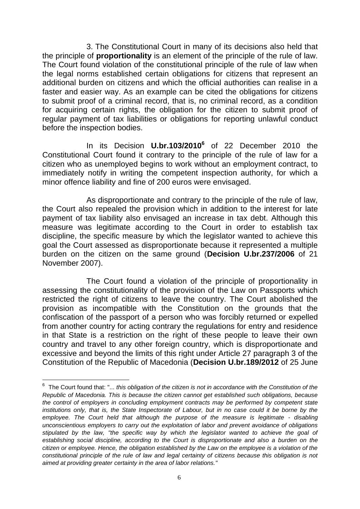3. The Constitutional Court in many of its decisions also held that the principle of **proportionality** is an element of the principle of the rule of law. The Court found violation of the constitutional principle of the rule of law when the legal norms established certain obligations for citizens that represent an additional burden on citizens and which the official authorities can realise in a faster and easier way. As an example can be cited the obligations for citizens to submit proof of a criminal record, that is, no criminal record, as a condition for acquiring certain rights, the obligation for the citizen to submit proof of regular payment of tax liabilities or obligations for reporting unlawful conduct before the inspection bodies.

In its Decision **U.br.103/2010 6** of 22 December 2010 the Constitutional Court found it contrary to the principle of the rule of law for a citizen who as unemployed begins to work without an employment contract, to immediately notify in writing the competent inspection authority, for which a minor offence liability and fine of 200 euros were envisaged.

As disproportionate and contrary to the principle of the rule of law, the Court also repealed the provision which in addition to the interest for late payment of tax liability also envisaged an increase in tax debt. Although this measure was legitimate according to the Court in order to establish tax discipline, the specific measure by which the legislator wanted to achieve this goal the Court assessed as disproportionate because it represented a multiple burden on the citizen on the same ground (**Decision U.br.237/2006** of 21 November 2007).

The Court found a violation of the principle of proportionality in assessing the constitutionality of the provision of the Law on Passports which restricted the right of citizens to leave the country. The Court abolished the provision as incompatible with the Constitution on the grounds that the confiscation of the passport of a person who was forcibly returned or expelled from another country for acting contrary the regulations for entry and residence in that State is a restriction on the right of these people to leave their own country and travel to any other foreign country, which is disproportionate and excessive and beyond the limits of this right under Article 27 paragraph 3 of the Constitution of the Republic of Macedonia (**Decision U.br.189/2012** of 25 June

<u>.</u>

<sup>&</sup>lt;sup>6</sup> The Court found that: "... *this obligation of the citizen is not in accordance with the Constitution of the Republic of Macedonia. This is because the citizen cannot get established such obligations, because the control of employers in concluding employment contracts may be performed by competent state institutions only, that is, the State Inspectorate of Labour, but in no case could it be borne by the employee. The Court held that although the purpose of the measure is legitimate - disabling unconscientious employers to carry out the exploitation of labor and prevent avoidance of obligations stipulated by the law, "the specific way by which the legislator wanted to achieve the goal of establishing social discipline, according to the Court is disproportionate and also a burden on the citizen or employee. Hence, the obligation established by the Law on the employee is a violation of the constitutional principle of the rule of law and legal certainty of citizens because this obligation is not aimed at providing greater certainty in the area of labor relations."*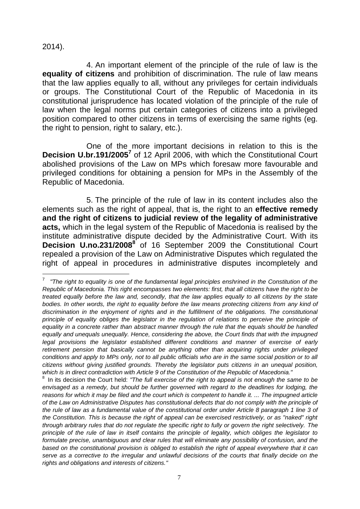2014).

<u>.</u>

4. An important element of the principle of the rule of law is the **equality of citizens** and prohibition of discrimination. The rule of law means that the law applies equally to all, without any privileges for certain individuals or groups. The Constitutional Court of the Republic of Macedonia in its constitutional jurisprudence has located violation of the principle of the rule of law when the legal norms put certain categories of citizens into a privileged position compared to other citizens in terms of exercising the same rights (eg. the right to pension, right to salary, etc.).

One of the more important decisions in relation to this is the **Decision U.br.191/2005<sup>7</sup>** of 12 April 2006, with which the Constitutional Court abolished provisions of the Law on MPs which foresaw more favourable and privileged conditions for obtaining a pension for MPs in the Assembly of the Republic of Macedonia.

5. The principle of the rule of law in its content includes also the elements such as the right of appeal, that is, the right to an **effective remedy and the right of citizens to judicial review of the legality of administrative acts,** which in the legal system of the Republic of Macedonia is realised by the institute administrative dispute decided by the Administrative Court. With its **Decision U.no.231/2008**<sup>8</sup> of 16 September 2009 the Constitutional Court repealed a provision of the Law on Administrative Disputes which regulated the right of appeal in procedures in administrative disputes incompletely and

<sup>7</sup> *"The right to equality is one of the fundamental legal principles enshrined in the Constitution of the Republic of Macedonia. This right encompasses two elements: first, that all citizens have the right to be treated equally before the law and, secondly, that the law applies equally to all citizens by the state bodies. In other words, the right to equality before the law means protecting citizens from any kind of discrimination in the enjoyment of rights and in the fulfillment of the obligations. The constitutional*  principle of equality obliges the legislator in the regulation of relations to perceive the principle of *equality in a concrete rather than abstract manner through the rule that the equals should be handled equally and unequals unequally. Hence, considering the above, the Court finds that with the impugned legal provisions the legislator established different conditions and manner of exercise of early retirement pension that basically cannot be anything other than acquiring rights under privileged conditions and apply to MPs only, not to all public officials who are in the same social position or to all citizens without giving justified grounds. Thereby the legislator puts citizens in an unequal position, which is in direct contradiction with Article 9 of the Constitution of the Republic of Macedonia."*

<sup>&</sup>lt;sup>8</sup> In its decision the Court held: "The full exercise of the right to appeal is not enough the same to be *envisaged as a remedy, but should be further governed with regard to the deadlines for lodging, the reasons for which it may be filed and the court which is competent to handle it. ... The impugned article of the Law on Administrative Disputes has constitutional defects that do not comply with the principle of the rule of law as a fundamental value of the constitutional order under Article 8 paragraph 1 line 3 of the Constitution. This is because the right of appeal can be exercised restrictively, or as "naked" right through arbitrary rules that do not regulate the specific right to fully or govern the right selectively. The principle of the rule of law in itself contains the principle of legality, which obliges the legislator to formulate precise, unambiguous and clear rules that will eliminate any possibility of confusion, and the based on the constitutional provision is obliged to establish the right of appeal everywhere that it can serve as a corrective to the irregular and unlawful decisions of the courts that finally decide on the rights and obligations and interests of citizens."*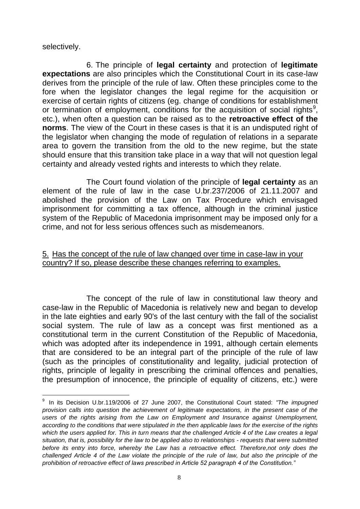selectively.

<u>.</u>

6. The principle of **legal certainty** and protection of **legitimate expectations** are also principles which the Constitutional Court in its case-law derives from the principle of the rule of law. Often these principles come to the fore when the legislator changes the legal regime for the acquisition or exercise of certain rights of citizens (eg. change of conditions for establishment or termination of employment, conditions for the acquisition of social rights<sup>9</sup>, etc.), when often a question can be raised as to the **retroactive effect of the norms**. The view of the Court in these cases is that it is an undisputed right of the legislator when changing the mode of regulation of relations in a separate area to govern the transition from the old to the new regime, but the state should ensure that this transition take place in a way that will not question legal certainty and already vested rights and interests to which they relate.

The Court found violation of the principle of **legal certainty** as an element of the rule of law in the case U.br.237/2006 of 21.11.2007 and abolished the provision of the Law on Tax Procedure which envisaged imprisonment for committing a tax offence, although in the criminal justice system of the Republic of Macedonia imprisonment may be imposed only for a crime, and not for less serious offences such as misdemeanors.

#### 5. Has the concept of the rule of law changed over time in case-law in your country? If so, please describe these changes referring to examples.

The concept of the rule of law in constitutional law theory and case-law in the Republic of Macedonia is relatively new and began to develop in the late eighties and early 90's of the last century with the fall of the socialist social system. The rule of law as a concept was first mentioned as a constitutional term in the current Constitution of the Republic of Macedonia, which was adopted after its independence in 1991, although certain elements that are considered to be an integral part of the principle of the rule of law (such as the principles of constitutionality and legality, judicial protection of rights, principle of legality in prescribing the criminal offences and penalties, the presumption of innocence, the principle of equality of citizens, etc.) were

<sup>9</sup> In its Decision U.br.119/2006 of 27 June 2007, the Constitutional Court stated: *"The impugned provision calls into question the achievement of legitimate expectations, in the present case of the users of the rights arising from the Law on Employment and Insurance against Unemployment, according to the conditions that were stipulated in the then applicable laws for the exercise of the rights*  which the users applied for. This in turn means that the challenged Article 4 of the Law creates a legal *situation, that is, possibility for the law to be applied also to relationships - requests that were submitted before its entry into force, whereby the Law has a retroactive effect. Therefore,not only does the challenged Article 4 of the Law violate the principle of the rule of law, but also the principle of the prohibition of retroactive effect of laws prescribed in Article 52 paragraph 4 of the Constitution."*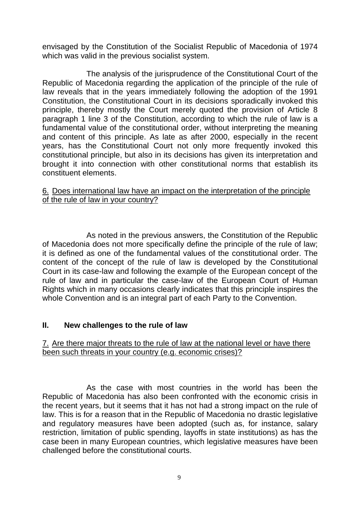envisaged by the Constitution of the Socialist Republic of Macedonia of 1974 which was valid in the previous socialist system.

The analysis of the jurisprudence of the Constitutional Court of the Republic of Macedonia regarding the application of the principle of the rule of law reveals that in the years immediately following the adoption of the 1991 Constitution, the Constitutional Court in its decisions sporadically invoked this principle, thereby mostly the Court merely quoted the provision of Article 8 paragraph 1 line 3 of the Constitution, according to which the rule of law is a fundamental value of the constitutional order, without interpreting the meaning and content of this principle. As late as after 2000, especially in the recent years, has the Constitutional Court not only more frequently invoked this constitutional principle, but also in its decisions has given its interpretation and brought it into connection with other constitutional norms that establish its constituent elements.

#### 6. Does international law have an impact on the interpretation of the principle of the rule of law in your country?

As noted in the previous answers, the Constitution of the Republic of Macedonia does not more specifically define the principle of the rule of law; it is defined as one of the fundamental values of the constitutional order. The content of the concept of the rule of law is developed by the Constitutional Court in its case-law and following the example of the European concept of the rule of law and in particular the case-law of the European Court of Human Rights which in many occasions clearly indicates that this principle inspires the whole Convention and is an integral part of each Party to the Convention.

### **II. New challenges to the rule of law**

#### 7. Are there major threats to the rule of law at the national level or have there been such threats in your country (e.g. economic crises)?

As the case with most countries in the world has been the Republic of Macedonia has also been confronted with the economic crisis in the recent years, but it seems that it has not had a strong impact on the rule of law. This is for a reason that in the Republic of Macedonia no drastic legislative and regulatory measures have been adopted (such as, for instance, salary restriction, limitation of public spending, layoffs in state institutions) as has the case been in many European countries, which legislative measures have been challenged before the constitutional courts.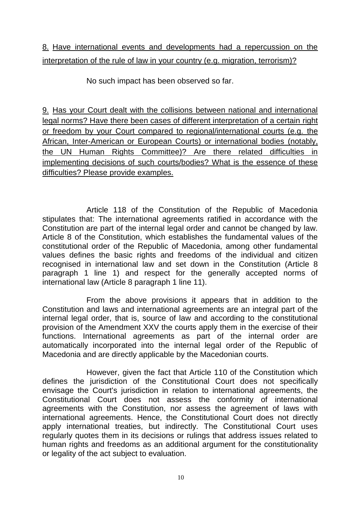# 8. Have international events and developments had a repercussion on the interpretation of the rule of law in your country (e.g. migration, terrorism)?

No such impact has been observed so far.

9. Has your Court dealt with the collisions between national and international legal norms? Have there been cases of different interpretation of a certain right or freedom by your Court compared to regional/international courts (e.g. the African, Inter-American or European Courts) or international bodies (notably, the UN Human Rights Committee)? Are there related difficulties in implementing decisions of such courts/bodies? What is the essence of these difficulties? Please provide examples.

Article 118 of the Constitution of the Republic of Macedonia stipulates that: The international agreements ratified in accordance with the Constitution are part of the internal legal order and cannot be changed by law. Article 8 of the Constitution, which establishes the fundamental values of the constitutional order of the Republic of Macedonia, among other fundamental values defines the basic rights and freedoms of the individual and citizen recognised in international law and set down in the Constitution (Article 8 paragraph 1 line 1) and respect for the generally accepted norms of international law (Article 8 paragraph 1 line 11).

From the above provisions it appears that in addition to the Constitution and laws and international agreements are an integral part of the internal legal order, that is, source of law and according to the constitutional provision of the Amendment XXV the courts apply them in the exercise of their functions. International agreements as part of the internal order are automatically incorporated into the internal legal order of the Republic of Macedonia and are directly applicable by the Macedonian courts.

However, given the fact that Article 110 of the Constitution which defines the jurisdiction of the Constitutional Court does not specifically envisage the Court's jurisdiction in relation to international agreements, the Constitutional Court does not assess the conformity of international agreements with the Constitution, nor assess the agreement of laws with international agreements. Hence, the Constitutional Court does not directly apply international treaties, but indirectly. The Constitutional Court uses regularly quotes them in its decisions or rulings that address issues related to human rights and freedoms as an additional argument for the constitutionality or legality of the act subject to evaluation.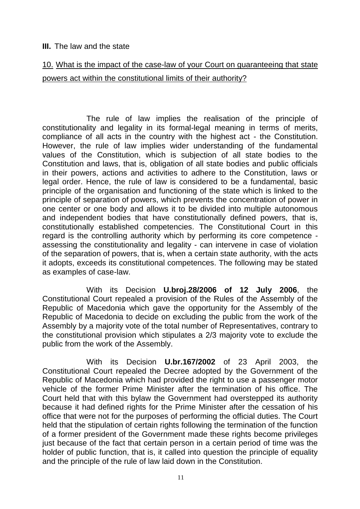#### **III.** The law and the state

## 10. What is the impact of the case-law of your Court on guaranteeing that state powers act within the constitutional limits of their authority?

The rule of law implies the realisation of the principle of constitutionality and legality in its formal-legal meaning in terms of merits, compliance of all acts in the country with the highest act - the Constitution. However, the rule of law implies wider understanding of the fundamental values of the Constitution, which is subjection of all state bodies to the Constitution and laws, that is, obligation of all state bodies and public officials in their powers, actions and activities to adhere to the Constitution, laws or legal order. Hence, the rule of law is considered to be a fundamental, basic principle of the organisation and functioning of the state which is linked to the principle of separation of powers, which prevents the concentration of power in one center or one body and allows it to be divided into multiple autonomous and independent bodies that have constitutionally defined powers, that is, constitutionally established competencies. The Constitutional Court in this regard is the controlling authority which by performing its core competence assessing the constitutionality and legality - can intervene in case of violation of the separation of powers, that is, when a certain state authority, with the acts it adopts, exceeds its constitutional competences. The following may be stated as examples of case-law.

With its Decision **U.broj.28/2006 of 12 July 2006**, the Constitutional Court repealed a provision of the Rules of the Assembly of the Republic of Macedonia which gave the opportunity for the Assembly of the Republic of Macedonia to decide on excluding the public from the work of the Assembly by a majority vote of the total number of Representatives, contrary to the constitutional provision which stipulates a 2/3 majority vote to exclude the public from the work of the Assembly.

With its Decision **U.br.167/2002** of 23 April 2003, the Constitutional Court repealed the Decree adopted by the Government of the Republic of Macedonia which had provided the right to use a passenger motor vehicle of the former Prime Minister after the termination of his office. The Court held that with this bylaw the Government had overstepped its authority because it had defined rights for the Prime Minister after the cessation of his office that were not for the purposes of performing the official duties. The Court held that the stipulation of certain rights following the termination of the function of a former president of the Government made these rights become privileges just because of the fact that certain person in a certain period of time was the holder of public function, that is, it called into question the principle of equality and the principle of the rule of law laid down in the Constitution.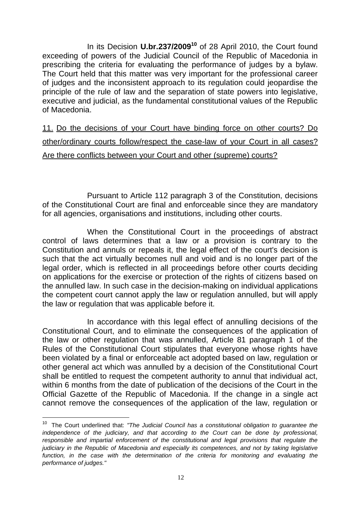In its Decision **U.br.237/2009<sup>10</sup>** of 28 April 2010, the Court found exceeding of powers of the Judicial Council of the Republic of Macedonia in prescribing the criteria for evaluating the performance of judges by a bylaw. The Court held that this matter was very important for the professional career of judges and the inconsistent approach to its regulation could jeopardise the principle of the rule of law and the separation of state powers into legislative, executive and judicial, as the fundamental constitutional values of the Republic of Macedonia.

11. Do the decisions of your Court have binding force on other courts? Do other/ordinary courts follow/respect the case-law of your Court in all cases? Are there conflicts between your Court and other (supreme) courts?

Pursuant to Article 112 paragraph 3 of the Constitution, decisions of the Constitutional Court are final and enforceable since they are mandatory for all agencies, organisations and institutions, including other courts.

When the Constitutional Court in the proceedings of abstract control of laws determines that a law or a provision is contrary to the Constitution and annuls or repeals it, the legal effect of the court's decision is such that the act virtually becomes null and void and is no longer part of the legal order, which is reflected in all proceedings before other courts deciding on applications for the exercise or protection of the rights of citizens based on the annulled law. In such case in the decision-making on individual applications the competent court cannot apply the law or regulation annulled, but will apply the law or regulation that was applicable before it.

In accordance with this legal effect of annulling decisions of the Constitutional Court, and to eliminate the consequences of the application of the law or other regulation that was annulled, Article 81 paragraph 1 of the Rules of the Constitutional Court stipulates that everyone whose rights have been violated by a final or enforceable act adopted based on law, regulation or other general act which was annulled by a decision of the Constitutional Court shall be entitled to request the competent authority to annul that individual act, within 6 months from the date of publication of the decisions of the Court in the Official Gazette of the Republic of Macedonia. If the change in a single act cannot remove the consequences of the application of the law, regulation or

1

<sup>10</sup> The Court underlined that: *"The Judicial Council has a constitutional obligation to guarantee the independence of the judiciary, and that according to the Court can be done by professional, responsible and impartial enforcement of the constitutional and legal provisions that regulate the judiciary in the Republic of Macedonia and especially its competences, and not by taking legislative*  function, in the case with the determination of the criteria for monitoring and evaluating the *performance of judges."*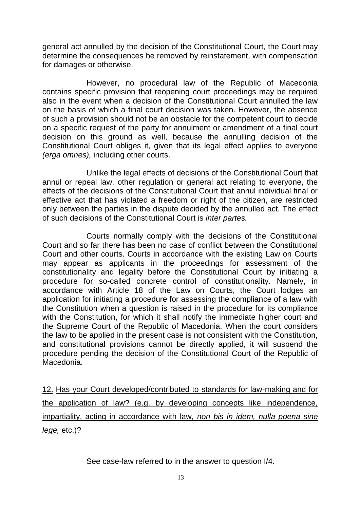general act annulled by the decision of the Constitutional Court, the Court may determine the consequences be removed by reinstatement, with compensation for damages or otherwise.

However, no procedural law of the Republic of Macedonia contains specific provision that reopening court proceedings may be required also in the event when a decision of the Constitutional Court annulled the law on the basis of which a final court decision was taken. However, the absence of such a provision should not be an obstacle for the competent court to decide on a specific request of the party for annulment or amendment of a final court decision on this ground as well, because the annulling decision of the Constitutional Court obliges it, given that its legal effect applies to everyone *(erga omnes),* including other courts.

Unlike the legal effects of decisions of the Constitutional Court that annul or repeal law, other regulation or general act relating to everyone, the effects of the decisions of the Constitutional Court that annul individual final or effective act that has violated a freedom or right of the citizen, are restricted only between the parties in the dispute decided by the annulled act. The effect of such decisions of the Constitutional Court is *inter partes.*

Courts normally comply with the decisions of the Constitutional Court and so far there has been no case of conflict between the Constitutional Court and other courts. Courts in accordance with the existing Law on Courts may appear as applicants in the proceedings for assessment of the constitutionality and legality before the Constitutional Court by initiating a procedure for so-called concrete control of constitutionality. Namely, in accordance with Article 18 of the Law on Courts, the Court lodges an application for initiating a procedure for assessing the compliance of a law with the Constitution when a question is raised in the procedure for its compliance with the Constitution, for which it shall notify the immediate higher court and the Supreme Court of the Republic of Macedonia. When the court considers the law to be applied in the present case is not consistent with the Constitution, and constitutional provisions cannot be directly applied, it will suspend the procedure pending the decision of the Constitutional Court of the Republic of Macedonia.

12. Has your Court developed/contributed to standards for law-making and for the application of law? (e.g. by developing concepts like independence, impartiality, acting in accordance with law, *non bis in idem, nulla poena sine lege,* etc.)?

See case-law referred to in the answer to question I/4.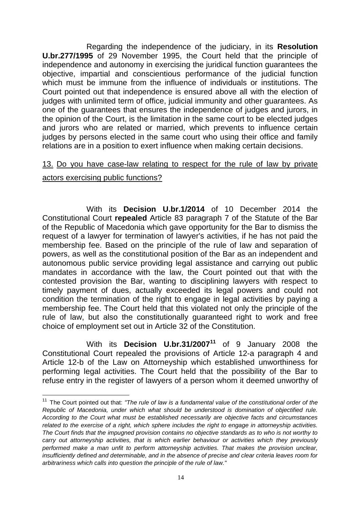Regarding the independence of the judiciary, in its **Resolution U.br.277/1995** of 29 November 1995, the Court held that the principle of independence and autonomy in exercising the juridical function guarantees the objective, impartial and conscientious performance of the judicial function which must be immune from the influence of individuals or institutions. The Court pointed out that independence is ensured above all with the election of judges with unlimited term of office, judicial immunity and other guarantees. As one of the guarantees that ensures the independence of judges and jurors, in the opinion of the Court, is the limitation in the same court to be elected judges and jurors who are related or married, which prevents to influence certain judges by persons elected in the same court who using their office and family relations are in a position to exert influence when making certain decisions.

## 13. Do you have case-law relating to respect for the rule of law by private actors exercising public functions?

With its **Decision U.br.1/2014** of 10 December 2014 the Constitutional Court **repealed** Article 83 paragraph 7 of the Statute of the Bar of the Republic of Macedonia which gave opportunity for the Bar to dismiss the request of a lawyer for termination of lawyer's activities, if he has not paid the membership fee. Based on the principle of the rule of law and separation of powers, as well as the constitutional position of the Bar as an independent and autonomous public service providing legal assistance and carrying out public mandates in accordance with the law, the Court pointed out that with the contested provision the Bar, wanting to disciplining lawyers with respect to timely payment of dues, actually exceeded its legal powers and could not condition the termination of the right to engage in legal activities by paying a membership fee. The Court held that this violated not only the principle of the rule of law, but also the constitutionally guaranteed right to work and free choice of employment set out in Article 32 of the Constitution.

With its **Decision U.br.31/2007<sup>11</sup>** of 9 January 2008 the Constitutional Court repealed the provisions of Article 12-a paragraph 4 and Article 12-b of the Law on Attorneyship which established unworthiness for performing legal activities. The Court held that the possibility of the Bar to refuse entry in the register of lawyers of a person whom it deemed unworthy of

<u>.</u>

<sup>&</sup>lt;sup>11</sup> The Court pointed out that: "The rule of law is a fundamental value of the constitutional order of the *Republic of Macedonia, under which what should be understood is domination of objectified rule. According to the Court what must be established necessarily are objective facts and circumstances related to the exercise of a right, which sphere includes the right to engage in attorneyship activities. The Court finds that the impugned provision contains no objective standards as to who is not worthy to carry out attorneyship activities, that is which earlier behaviour or activities which they previously performed make a man unfit to perform attorneyship activities. That makes the provision unclear, insufficiently defined and determinable, and in the absence of precise and clear criteria leaves room for arbitrariness which calls into question the principle of the rule of law."*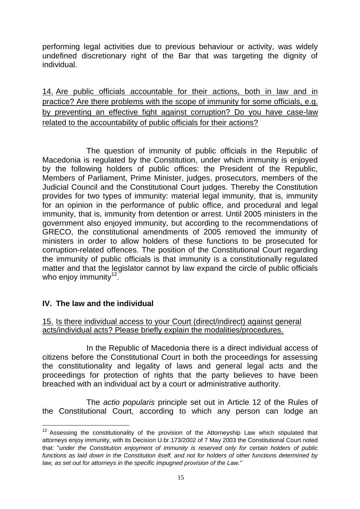performing legal activities due to previous behaviour or activity, was widely undefined discretionary right of the Bar that was targeting the dignity of individual.

14. Are public officials accountable for their actions, both in law and in practice? Are there problems with the scope of immunity for some officials, e.g. by preventing an effective fight against corruption? Do you have case-law related to the accountability of public officials for their actions?

The question of immunity of public officials in the Republic of Macedonia is regulated by the Constitution, under which immunity is enjoyed by the following holders of public offices: the President of the Republic, Members of Parliament, Prime Minister, judges, prosecutors, members of the Judicial Council and the Constitutional Court judges. Thereby the Constitution provides for two types of immunity: material legal immunity, that is, immunity for an opinion in the performance of public office, and procedural and legal immunity, that is, immunity from detention or arrest. Until 2005 ministers in the government also enjoyed immunity, but according to the recommendations of GRECO, the constitutional amendments of 2005 removed the immunity of ministers in order to allow holders of these functions to be prosecuted for corruption-related offences. The position of the Constitutional Court regarding the immunity of public officials is that immunity is a constitutionally regulated matter and that the legislator cannot by law expand the circle of public officials who enjoy immunity $12$ .

### **IV. The law and the individual**

<u>.</u>

### 15. Is there individual access to your Court (direct/indirect) against general acts/individual acts? Please briefly explain the modalities/procedures.

In the Republic of Macedonia there is a direct individual access of citizens before the Constitutional Court in both the proceedings for assessing the constitutionality and legality of laws and general legal acts and the proceedings for protection of rights that the party believes to have been breached with an individual act by a court or administrative authority.

The *actio popularis* principle set out in Article 12 of the Rules of the Constitutional Court, according to which any person can lodge an

 $12$  Assessing the constitutionality of the provision of the Attorneyship Law which stipulated that attorneys enjoy immunity, with its Decision U.br.173/2002 of 7 May 2003 the Constitutional Court noted that: "*under the Constitution enjoyment of immunity is reserved only for certain holders of public functions as laid down in the Constitution itself, and not for holders of other functions determined by law, as set out for attorneys in the specific impugned provision of the Law."*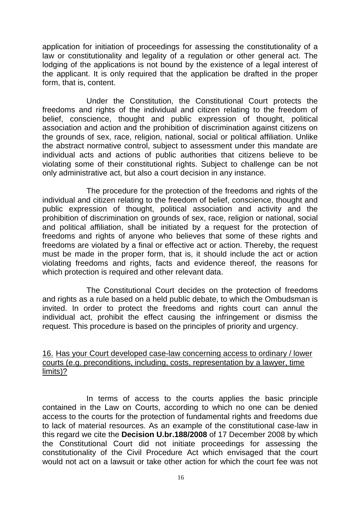application for initiation of proceedings for assessing the constitutionality of a law or constitutionality and legality of a regulation or other general act. The lodging of the applications is not bound by the existence of a legal interest of the applicant. It is only required that the application be drafted in the proper form, that is, content.

Under the Constitution, the Constitutional Court protects the freedoms and rights of the individual and citizen relating to the freedom of belief, conscience, thought and public expression of thought, political association and action and the prohibition of discrimination against citizens on the grounds of sex, race, religion, national, social or political affiliation. Unlike the abstract normative control, subject to assessment under this mandate are individual acts and actions of public authorities that citizens believe to be violating some of their constitutional rights. Subject to challenge can be not only administrative act, but also a court decision in any instance.

The procedure for the protection of the freedoms and rights of the individual and citizen relating to the freedom of belief, conscience, thought and public expression of thought, political association and activity and the prohibition of discrimination on grounds of sex, race, religion or national, social and political affiliation, shall be initiated by a request for the protection of freedoms and rights of anyone who believes that some of these rights and freedoms are violated by a final or effective act or action. Thereby, the request must be made in the proper form, that is, it should include the act or action violating freedoms and rights, facts and evidence thereof, the reasons for which protection is required and other relevant data.

The Constitutional Court decides on the protection of freedoms and rights as a rule based on a held public debate, to which the Ombudsman is invited. In order to protect the freedoms and rights court can annul the individual act, prohibit the effect causing the infringement or dismiss the request. This procedure is based on the principles of priority and urgency.

#### 16. Has your Court developed case-law concerning access to ordinary / lower courts (e.g. preconditions, including, costs, representation by a lawyer, time limits)?

In terms of access to the courts applies the basic principle contained in the Law on Courts, according to which no one can be denied access to the courts for the protection of fundamental rights and freedoms due to lack of material resources. As an example of the constitutional case-law in this regard we cite the **Decision U.br.188/2008** of 17 December 2008 by which the Constitutional Court did not initiate proceedings for assessing the constitutionality of the Civil Procedure Act which envisaged that the court would not act on a lawsuit or take other action for which the court fee was not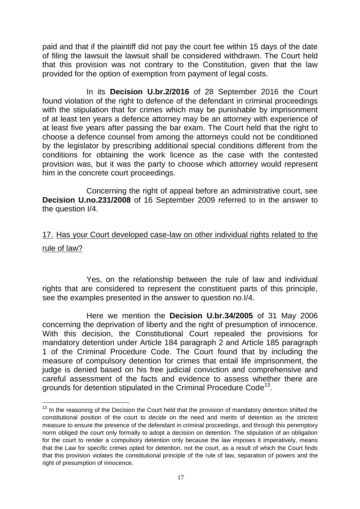paid and that if the plaintiff did not pay the court fee within 15 days of the date of filing the lawsuit the lawsuit shall be considered withdrawn. The Court held that this provision was not contrary to the Constitution, given that the law provided for the option of exemption from payment of legal costs.

In its **Decision U.br.2/2016** of 28 September 2016 the Court found violation of the right to defence of the defendant in criminal proceedings with the stipulation that for crimes which may be punishable by imprisonment of at least ten years a defence attorney may be an attorney with experience of at least five years after passing the bar exam. The Court held that the right to choose a defence counsel from among the attorneys could not be conditioned by the legislator by prescribing additional special conditions different from the conditions for obtaining the work licence as the case with the contested provision was, but it was the party to choose which attorney would represent him in the concrete court proceedings.

Concerning the right of appeal before an administrative court, see **Decision U.no.231/2008** of 16 September 2009 referred to in the answer to the question I/4.

## 17. Has your Court developed case-law on other individual rights related to the rule of law?

Yes, on the relationship between the rule of law and individual rights that are considered to represent the constituent parts of this principle, see the examples presented in the answer to question no.I/4.

Here we mention the **Decision U.br.34/2005** of 31 May 2006 concerning the deprivation of liberty and the right of presumption of innocence. With this decision, the Constitutional Court repealed the provisions for mandatory detention under Article 184 paragraph 2 and Article 185 paragraph 1 of the Criminal Procedure Code. The Court found that by including the measure of compulsory detention for crimes that entail life imprisonment, the judge is denied based on his free judicial conviction and comprehensive and careful assessment of the facts and evidence to assess whether there are grounds for detention stipulated in the Criminal Procedure Code<sup>13</sup>.

<u>.</u>

 $13$  In the reasoning of the Decision the Court held that the provision of mandatory detention shifted the constitutional position of the court to decide on the need and merits of detention as the strictest measure to ensure the presence of the defendant in criminal proceedings, and through this peremptory norm obliged the court only formally to adopt a decision on detention. The stipulation of an obligation for the court to render a compulsory detention only because the law imposes it imperatively, means that the Law for specific crimes opted for detention, not the court, as a result of which the Court finds that this provision violates the constitutional principle of the rule of law, separation of powers and the right of presumption of innocence.